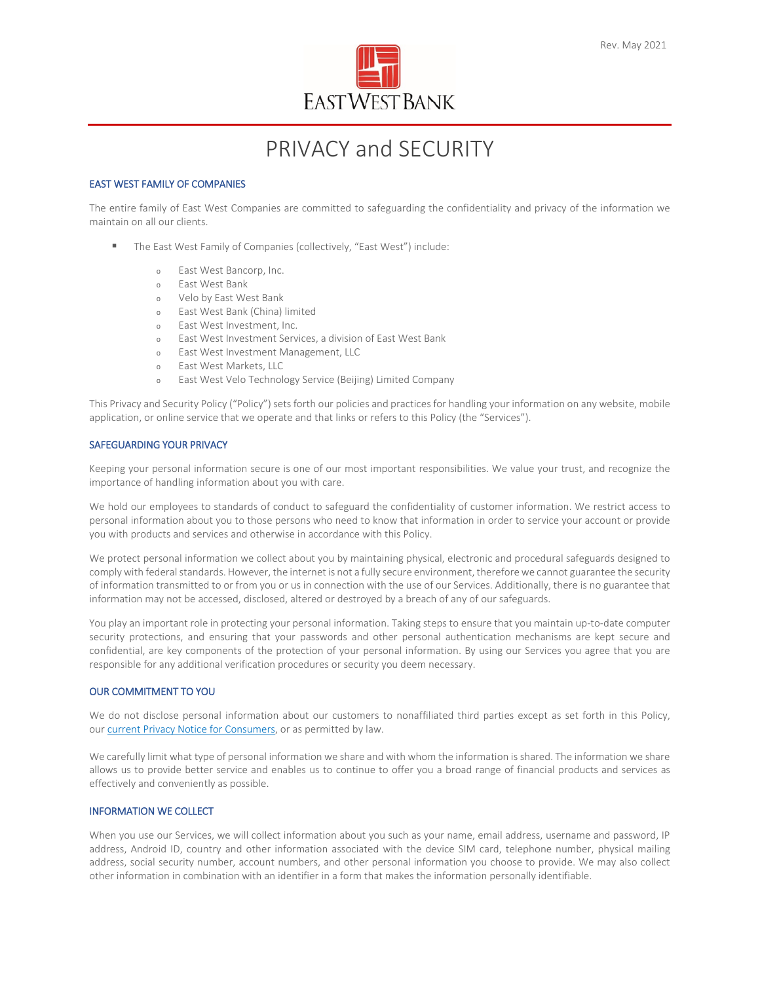

# PRIVACY and SECURITY

## EAST WEST FAMILY OF COMPANIES

The entire family of East West Companies are committed to safeguarding the confidentiality and privacy of the information we maintain on all our clients.

- The East West Family of Companies (collectively, "East West") include:
	- <sup>o</sup> East West Bancorp, Inc.
	- <sup>o</sup> East West Bank
	- <sup>o</sup> Velo by East West Bank
	- <sup>o</sup> East West Bank (China) limited
	- <sup>o</sup> East West Investment, Inc.
	- <sup>o</sup> East West Investment Services, a division of East West Bank
	- <sup>o</sup> East West Investment Management, LLC
	- <sup>o</sup> East West Markets, LLC
	- <sup>o</sup> East West Velo Technology Service (Beijing) Limited Company

This Privacy and Security Policy ("Policy") sets forth our policies and practices for handling your information on any website, mobile application, or online service that we operate and that links or refers to this Policy (the "Services").

## SAFEGUARDING YOUR PRIVACY

Keeping your personal information secure is one of our most important responsibilities. We value your trust, and recognize the importance of handling information about you with care.

We hold our employees to standards of conduct to safeguard the confidentiality of customer information. We restrict access to personal information about you to those persons who need to know that information in order to service your account or provide you with products and services and otherwise in accordance with this Policy.

We protect personal information we collect about you by maintaining physical, electronic and procedural safeguards designed to comply with federal standards. However, the internet is not a fully secure environment, therefore we cannot guarantee the security of information transmitted to or from you or us in connection with the use of our Services. Additionally, there is no guarantee that information may not be accessed, disclosed, altered or destroyed by a breach of any of our safeguards.

You play an important role in protecting your personal information. Taking steps to ensure that you maintain up-to-date computer security protections, and ensuring that your passwords and other personal authentication mechanisms are kept secure and confidential, are key components of the protection of your personal information. By using our Services you agree that you are responsible for any additional verification procedures or security you deem necessary.

## OUR COMMITMENT TO YOU

We do not disclose personal information about our customers to nonaffiliated third parties except as set forth in this Policy, our [current Privacy Notice for Consumers,](https://www.velobank.cn/en/privacy-notice-consumers.html) or as permitted by law.

We carefully limit what type of personal information we share and with whom the information is shared. The information we share allows us to provide better service and enables us to continue to offer you a broad range of financial products and services as effectively and conveniently as possible.

## INFORMATION WE COLLECT

When you use our Services, we will collect information about you such as your name, email address, username and password, IP address, Android ID, country and other information associated with the device SIM card, telephone number, physical mailing address, social security number, account numbers, and other personal information you choose to provide. We may also collect other information in combination with an identifier in a form that makes the information personally identifiable.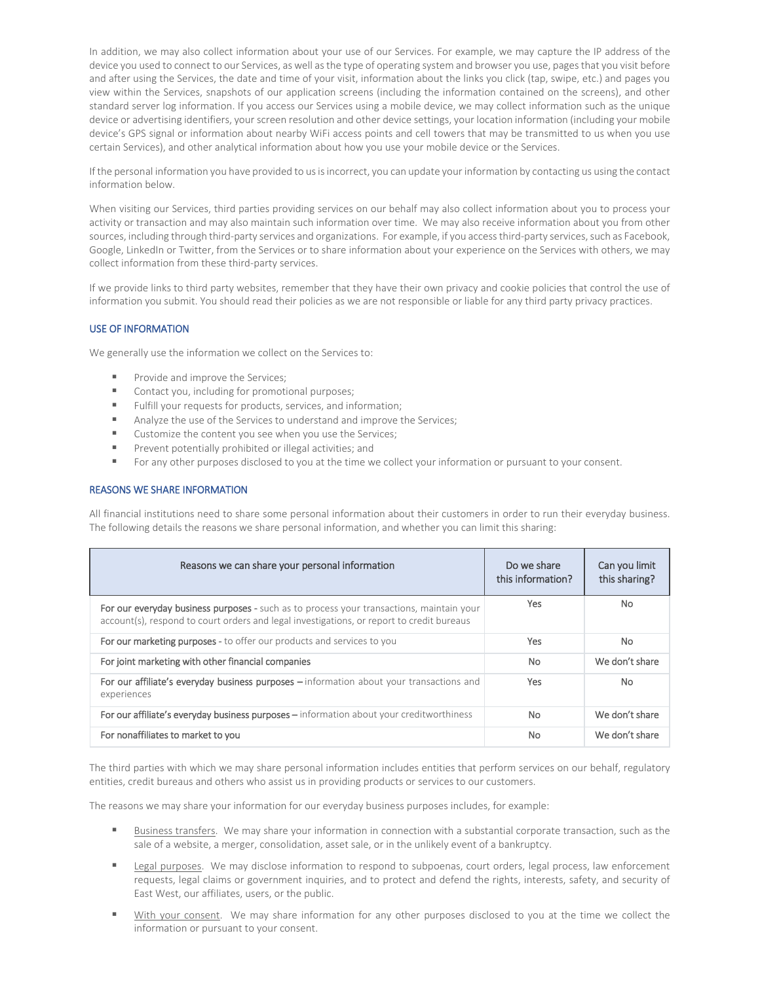In addition, we may also collect information about your use of our Services. For example, we may capture the IP address of the device you used to connect to our Services, as well as the type of operating system and browser you use, pages that you visit before and after using the Services, the date and time of your visit, information about the links you click (tap, swipe, etc.) and pages you view within the Services, snapshots of our application screens (including the information contained on the screens), and other standard server log information. If you access our Services using a mobile device, we may collect information such as the unique device or advertising identifiers, your screen resolution and other device settings, your location information (including your mobile device's GPS signal or information about nearby WiFi access points and cell towers that may be transmitted to us when you use certain Services), and other analytical information about how you use your mobile device or the Services.

If the personal information you have provided to us is incorrect, you can update your information by contacting us using the contact information below.

When visiting our Services, third parties providing services on our behalf may also collect information about you to process your activity or transaction and may also maintain such information over time. We may also receive information about you from other sources, including through third-party services and organizations. For example, if you access third-party services, such as Facebook, Google, LinkedIn or Twitter, from the Services or to share information about your experience on the Services with others, we may collect information from these third-party services.

If we provide links to third party websites, remember that they have their own privacy and cookie policies that control the use of information you submit. You should read their policies as we are not responsible or liable for any third party privacy practices.

## USE OF INFORMATION

We generally use the information we collect on the Services to:

- Provide and improve the Services;
- Contact you, including for promotional purposes;
- Fulfill your requests for products, services, and information;
- Analyze the use of the Services to understand and improve the Services;
- Customize the content you see when you use the Services;
- **Prevent potentially prohibited or illegal activities; and**
- For any other purposes disclosed to you at the time we collect your information or pursuant to your consent.

## REASONS WE SHARE INFORMATION

All financial institutions need to share some personal information about their customers in order to run their everyday business. The following details the reasons we share personal information, and whether you can limit this sharing:

| Reasons we can share your personal information                                                                                                                                        | Do we share<br>this information? | Can you limit<br>this sharing? |
|---------------------------------------------------------------------------------------------------------------------------------------------------------------------------------------|----------------------------------|--------------------------------|
| For our everyday business purposes - such as to process your transactions, maintain your<br>account(s), respond to court orders and legal investigations, or report to credit bureaus | Yes                              | <b>No</b>                      |
| For our marketing purposes - to offer our products and services to you                                                                                                                | Yes.                             | <b>No</b>                      |
| For joint marketing with other financial companies                                                                                                                                    | No.                              | We don't share                 |
| For our affiliate's everyday business purposes - information about your transactions and<br>experiences                                                                               | Yes                              | <b>No</b>                      |
| For our affiliate's everyday business purposes – information about your creditworthiness                                                                                              | No.                              | We don't share                 |
| For nonaffiliates to market to you                                                                                                                                                    | No                               | We don't share                 |

The third parties with which we may share personal information includes entities that perform services on our behalf, regulatory entities, credit bureaus and others who assist us in providing products or services to our customers.

The reasons we may share your information for our everyday business purposes includes, for example:

- Business transfers. We may share your information in connection with a substantial corporate transaction, such as the sale of a website, a merger, consolidation, asset sale, or in the unlikely event of a bankruptcy.
- Legal purposes. We may disclose information to respond to subpoenas, court orders, legal process, law enforcement requests, legal claims or government inquiries, and to protect and defend the rights, interests, safety, and security of East West, our affiliates, users, or the public.
- With your consent. We may share information for any other purposes disclosed to you at the time we collect the information or pursuant to your consent.